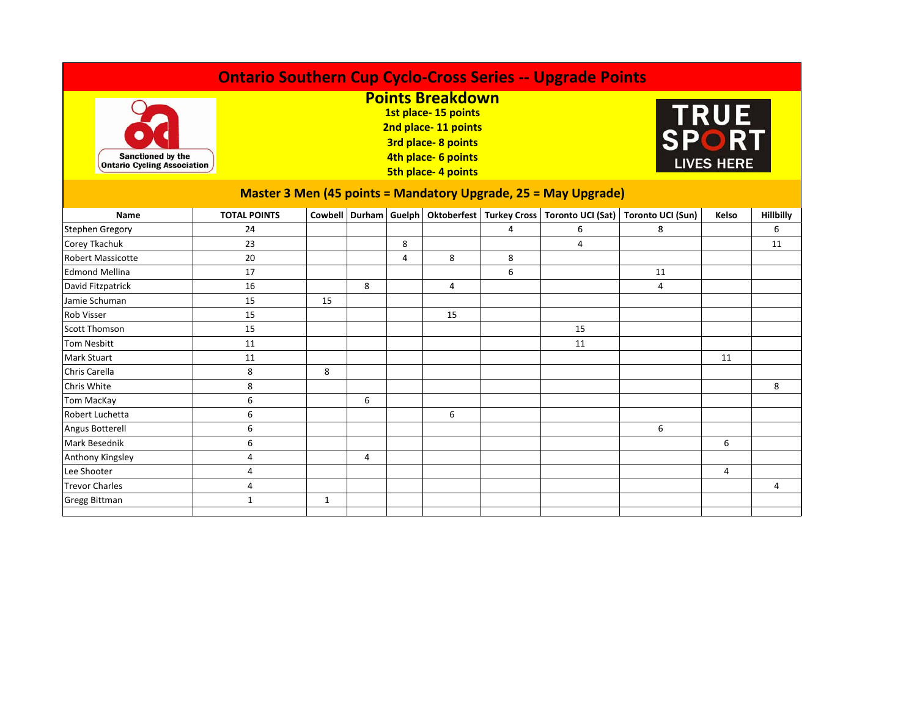| <b>Ontario Southern Cup Cyclo-Cross Series -- Upgrade Points</b>      |                     |                                                                                                                                                 |   |   |                |   |                |                                                                                            |                                    |           |  |  |
|-----------------------------------------------------------------------|---------------------|-------------------------------------------------------------------------------------------------------------------------------------------------|---|---|----------------|---|----------------|--------------------------------------------------------------------------------------------|------------------------------------|-----------|--|--|
| <b>Sanctioned by the</b><br><b>Ontario Cycling Association</b>        |                     | <b>Points Breakdown</b><br>1st place-15 points<br>2nd place-11 points<br>3rd place-8 points<br>4th place- 6 points<br><b>5th place-4 points</b> |   |   |                |   |                |                                                                                            | TRUE<br>SPORT<br><b>LIVES HERE</b> |           |  |  |
| <b>Master 3 Men (45 points = Mandatory Upgrade, 25 = May Upgrade)</b> |                     |                                                                                                                                                 |   |   |                |   |                |                                                                                            |                                    |           |  |  |
| Name                                                                  | <b>TOTAL POINTS</b> |                                                                                                                                                 |   |   |                |   |                | Cowbell Durham Guelph   Oktoberfest   Turkey Cross   Toronto UCI (Sat)   Toronto UCI (Sun) | Kelso                              | Hillbilly |  |  |
| <b>Stephen Gregory</b>                                                | 24                  |                                                                                                                                                 |   |   |                | 4 | 6              | 8                                                                                          |                                    | 6         |  |  |
| Corey Tkachuk                                                         | 23                  |                                                                                                                                                 |   | 8 |                |   | $\overline{4}$ |                                                                                            |                                    | 11        |  |  |
| <b>Robert Massicotte</b>                                              | 20                  |                                                                                                                                                 |   | 4 | 8              | 8 |                |                                                                                            |                                    |           |  |  |
| <b>Edmond Mellina</b>                                                 | 17                  |                                                                                                                                                 |   |   |                | 6 |                | 11                                                                                         |                                    |           |  |  |
| David Fitzpatrick                                                     | 16                  |                                                                                                                                                 | 8 |   | $\overline{4}$ |   |                | 4                                                                                          |                                    |           |  |  |
| Jamie Schuman                                                         | 15                  | 15                                                                                                                                              |   |   |                |   |                |                                                                                            |                                    |           |  |  |
| <b>Rob Visser</b>                                                     | 15                  |                                                                                                                                                 |   |   | 15             |   |                |                                                                                            |                                    |           |  |  |
| <b>Scott Thomson</b>                                                  | 15                  |                                                                                                                                                 |   |   |                |   | 15             |                                                                                            |                                    |           |  |  |
| <b>Tom Nesbitt</b>                                                    | 11                  |                                                                                                                                                 |   |   |                |   | 11             |                                                                                            |                                    |           |  |  |
| <b>Mark Stuart</b>                                                    | 11                  |                                                                                                                                                 |   |   |                |   |                |                                                                                            | 11                                 |           |  |  |
| Chris Carella                                                         | 8                   | 8                                                                                                                                               |   |   |                |   |                |                                                                                            |                                    |           |  |  |
| Chris White                                                           | 8                   |                                                                                                                                                 |   |   |                |   |                |                                                                                            |                                    | 8         |  |  |
| <b>Tom MacKay</b>                                                     | 6                   |                                                                                                                                                 | 6 |   |                |   |                |                                                                                            |                                    |           |  |  |
| Robert Luchetta                                                       | 6                   |                                                                                                                                                 |   |   | 6              |   |                |                                                                                            |                                    |           |  |  |
| Angus Botterell                                                       | 6                   |                                                                                                                                                 |   |   |                |   |                | 6                                                                                          |                                    |           |  |  |
| <b>Mark Besednik</b>                                                  | 6                   |                                                                                                                                                 |   |   |                |   |                |                                                                                            | 6                                  |           |  |  |
| Anthony Kingsley                                                      | 4                   |                                                                                                                                                 | 4 |   |                |   |                |                                                                                            |                                    |           |  |  |
| Lee Shooter                                                           | 4                   |                                                                                                                                                 |   |   |                |   |                |                                                                                            | 4                                  |           |  |  |
| <b>Trevor Charles</b>                                                 | 4                   |                                                                                                                                                 |   |   |                |   |                |                                                                                            |                                    | 4         |  |  |
| Gregg Bittman                                                         | $\mathbf{1}$        | 1                                                                                                                                               |   |   |                |   |                |                                                                                            |                                    |           |  |  |
|                                                                       |                     |                                                                                                                                                 |   |   |                |   |                |                                                                                            |                                    |           |  |  |